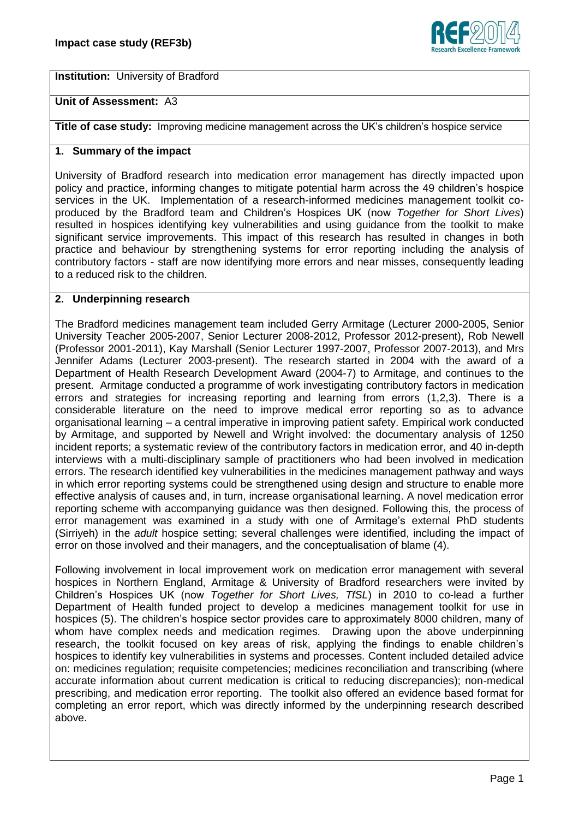

**Institution:** University of Bradford

# **Unit of Assessment:** A3

**Title of case study:** Improving medicine management across the UK's children's hospice service

# **1. Summary of the impact**

University of Bradford research into medication error management has directly impacted upon policy and practice, informing changes to mitigate potential harm across the 49 children's hospice services in the UK. Implementation of a research-informed medicines management toolkit coproduced by the Bradford team and Children's Hospices UK (now *Together for Short Lives*) resulted in hospices identifying key vulnerabilities and using guidance from the toolkit to make significant service improvements. This impact of this research has resulted in changes in both practice and behaviour by strengthening systems for error reporting including the analysis of contributory factors - staff are now identifying more errors and near misses, consequently leading to a reduced risk to the children.

### **2. Underpinning research**

The Bradford medicines management team included Gerry Armitage (Lecturer 2000-2005, Senior University Teacher 2005-2007, Senior Lecturer 2008-2012, Professor 2012-present), Rob Newell (Professor 2001-2011), Kay Marshall (Senior Lecturer 1997-2007, Professor 2007-2013), and Mrs Jennifer Adams (Lecturer 2003-present). The research started in 2004 with the award of a Department of Health Research Development Award (2004-7) to Armitage, and continues to the present. Armitage conducted a programme of work investigating contributory factors in medication errors and strategies for increasing reporting and learning from errors (1,2,3). There is a considerable literature on the need to improve medical error reporting so as to advance organisational learning – a central imperative in improving patient safety. Empirical work conducted by Armitage, and supported by Newell and Wright involved: the documentary analysis of 1250 incident reports; a systematic review of the contributory factors in medication error, and 40 in-depth interviews with a multi-disciplinary sample of practitioners who had been involved in medication errors. The research identified key vulnerabilities in the medicines management pathway and ways in which error reporting systems could be strengthened using design and structure to enable more effective analysis of causes and, in turn, increase organisational learning. A novel medication error reporting scheme with accompanying guidance was then designed. Following this, the process of error management was examined in a study with one of Armitage's external PhD students (Sirriyeh) in the *adult* hospice setting; several challenges were identified, including the impact of error on those involved and their managers, and the conceptualisation of blame (4).

Following involvement in local improvement work on medication error management with several hospices in Northern England, Armitage & University of Bradford researchers were invited by Children's Hospices UK (now *Together for Short Lives, TfSL*) in 2010 to co-lead a further Department of Health funded project to develop a medicines management toolkit for use in hospices (5). The children's hospice sector provides care to approximately 8000 children, many of whom have complex needs and medication regimes. Drawing upon the above underpinning research, the toolkit focused on key areas of risk, applying the findings to enable children's hospices to identify key vulnerabilities in systems and processes. Content included detailed advice on: medicines regulation; requisite competencies; medicines reconciliation and transcribing (where accurate information about current medication is critical to reducing discrepancies); non-medical prescribing, and medication error reporting. The toolkit also offered an evidence based format for completing an error report, which was directly informed by the underpinning research described above.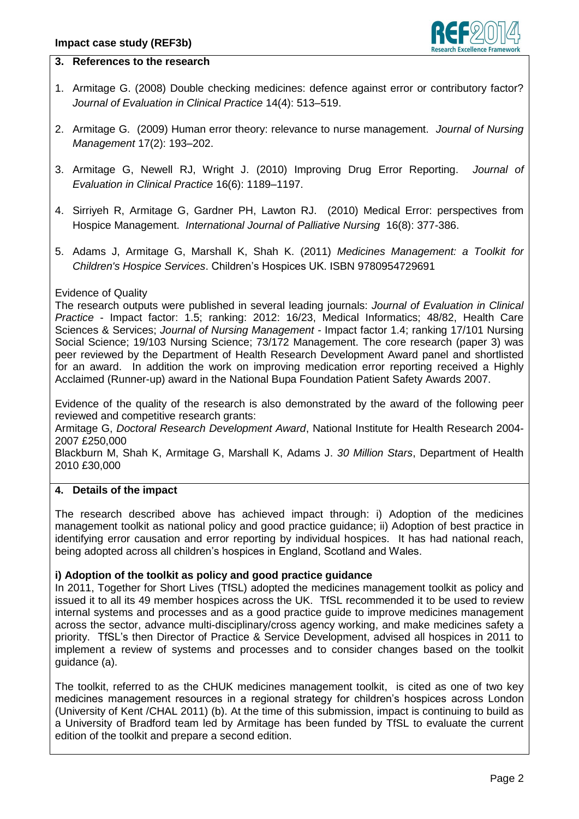

## **3. References to the research**

- 1. Armitage G. (2008) Double checking medicines: defence against error or contributory factor? *Journal of Evaluation in Clinical Practice* 14(4): 513–519.
- 2. Armitage G. (2009) Human error theory: relevance to nurse management. *Journal of Nursing Management* 17(2): 193–202.
- 3. Armitage G, Newell RJ, Wright J. (2010) Improving Drug Error Reporting. *Journal of Evaluation in Clinical Practice* 16(6): 1189–1197.
- 4. Sirriyeh R, Armitage G, Gardner PH, Lawton RJ. (2010) Medical Error: perspectives from Hospice Management. *International Journal of Palliative Nursing* 16(8): 377-386.
- 5. Adams J, Armitage G, Marshall K, Shah K. (2011) *Medicines Management: a Toolkit for Children's Hospice Services*. Children's Hospices UK. ISBN 9780954729691

### Evidence of Quality

The research outputs were published in several leading journals: *Journal of Evaluation in Clinical Practice* - Impact factor: 1.5; ranking: 2012: 16/23, Medical Informatics; 48/82, Health Care Sciences & Services; *Journal of Nursing Management* - Impact factor 1.4; ranking 17/101 Nursing Social Science; 19/103 Nursing Science; 73/172 Management. The core research (paper 3) was peer reviewed by the Department of Health Research Development Award panel and shortlisted for an award. In addition the work on improving medication error reporting received a Highly Acclaimed (Runner-up) award in the National Bupa Foundation Patient Safety Awards 2007.

Evidence of the quality of the research is also demonstrated by the award of the following peer reviewed and competitive research grants:

Armitage G, *Doctoral Research Development Award*, National Institute for Health Research 2004- 2007 £250,000

Blackburn M, Shah K, Armitage G, Marshall K, Adams J. *30 Million Stars*, Department of Health 2010 £30,000

#### **4. Details of the impact**

The research described above has achieved impact through: i) Adoption of the medicines management toolkit as national policy and good practice guidance; ii) Adoption of best practice in identifying error causation and error reporting by individual hospices. It has had national reach, being adopted across all children's hospices in England, Scotland and Wales.

#### **i) Adoption of the toolkit as policy and good practice guidance**

In 2011, Together for Short Lives (TfSL) adopted the medicines management toolkit as policy and issued it to all its 49 member hospices across the UK. TfSL recommended it to be used to review internal systems and processes and as a good practice guide to improve medicines management across the sector, advance multi-disciplinary/cross agency working, and make medicines safety a priority. TfSL's then Director of Practice & Service Development, advised all hospices in 2011 to implement a review of systems and processes and to consider changes based on the toolkit guidance (a).

The toolkit, referred to as the CHUK medicines management toolkit, is cited as one of two key medicines management resources in a regional strategy for children's hospices across London (University of Kent /CHAL 2011) (b). At the time of this submission, impact is continuing to build as a University of Bradford team led by Armitage has been funded by TfSL to evaluate the current edition of the toolkit and prepare a second edition.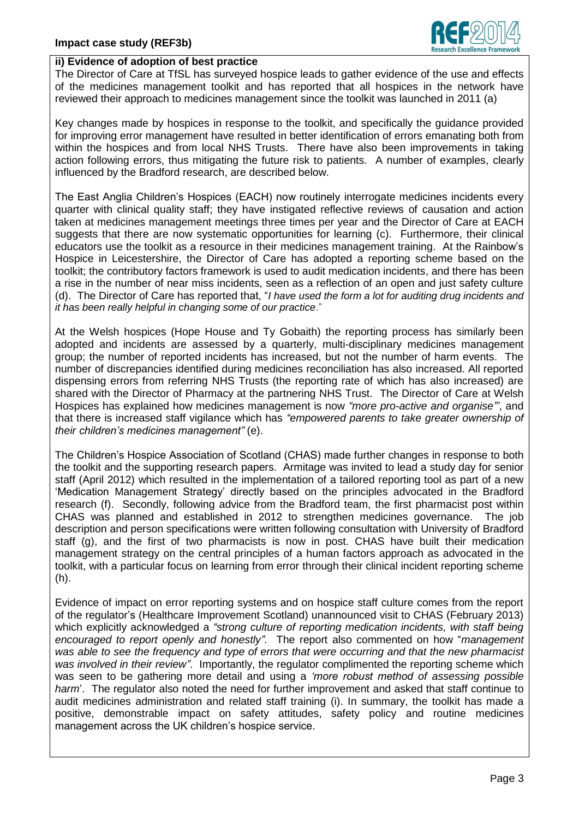

### **ii) Evidence of adoption of best practice**

The Director of Care at TfSL has surveyed hospice leads to gather evidence of the use and effects of the medicines management toolkit and has reported that all hospices in the network have reviewed their approach to medicines management since the toolkit was launched in 2011 (a)

Key changes made by hospices in response to the toolkit, and specifically the guidance provided for improving error management have resulted in better identification of errors emanating both from within the hospices and from local NHS Trusts. There have also been improvements in taking action following errors, thus mitigating the future risk to patients. A number of examples, clearly influenced by the Bradford research, are described below.

The East Anglia Children's Hospices (EACH) now routinely interrogate medicines incidents every quarter with clinical quality staff; they have instigated reflective reviews of causation and action taken at medicines management meetings three times per year and the Director of Care at EACH suggests that there are now systematic opportunities for learning (c). Furthermore, their clinical educators use the toolkit as a resource in their medicines management training. At the Rainbow's Hospice in Leicestershire, the Director of Care has adopted a reporting scheme based on the toolkit; the contributory factors framework is used to audit medication incidents, and there has been a rise in the number of near miss incidents, seen as a reflection of an open and just safety culture (d). The Director of Care has reported that, "*I have used the form a lot for auditing drug incidents and it has been really helpful in changing some of our practice*."

At the Welsh hospices (Hope House and Ty Gobaith) the reporting process has similarly been adopted and incidents are assessed by a quarterly, multi-disciplinary medicines management group; the number of reported incidents has increased, but not the number of harm events. The number of discrepancies identified during medicines reconciliation has also increased. All reported dispensing errors from referring NHS Trusts (the reporting rate of which has also increased) are shared with the Director of Pharmacy at the partnering NHS Trust. The Director of Care at Welsh Hospices has explained how medicines management is now *"more pro-active and organise"'*, and that there is increased staff vigilance which has *"empowered parents to take greater ownership of their children's medicines management"* (e).

The Children's Hospice Association of Scotland (CHAS) made further changes in response to both the toolkit and the supporting research papers. Armitage was invited to lead a study day for senior staff (April 2012) which resulted in the implementation of a tailored reporting tool as part of a new 'Medication Management Strategy' directly based on the principles advocated in the Bradford research (f). Secondly, following advice from the Bradford team, the first pharmacist post within CHAS was planned and established in 2012 to strengthen medicines governance. The job description and person specifications were written following consultation with University of Bradford staff (g), and the first of two pharmacists is now in post. CHAS have built their medication management strategy on the central principles of a human factors approach as advocated in the toolkit, with a particular focus on learning from error through their clinical incident reporting scheme (h).

Evidence of impact on error reporting systems and on hospice staff culture comes from the report of the regulator's (Healthcare Improvement Scotland) unannounced visit to CHAS (February 2013) which explicitly acknowledged a *"strong culture of reporting medication incidents, with staff being encouraged to report openly and honestly"*. The report also commented on how "*management was able to see the frequency and type of errors that were occurring and that the new pharmacist was involved in their review"*. Importantly, the regulator complimented the reporting scheme which was seen to be gathering more detail and using a *'more robust method of assessing possible harm*'. The regulator also noted the need for further improvement and asked that staff continue to audit medicines administration and related staff training (i). In summary, the toolkit has made a positive, demonstrable impact on safety attitudes, safety policy and routine medicines management across the UK children's hospice service.